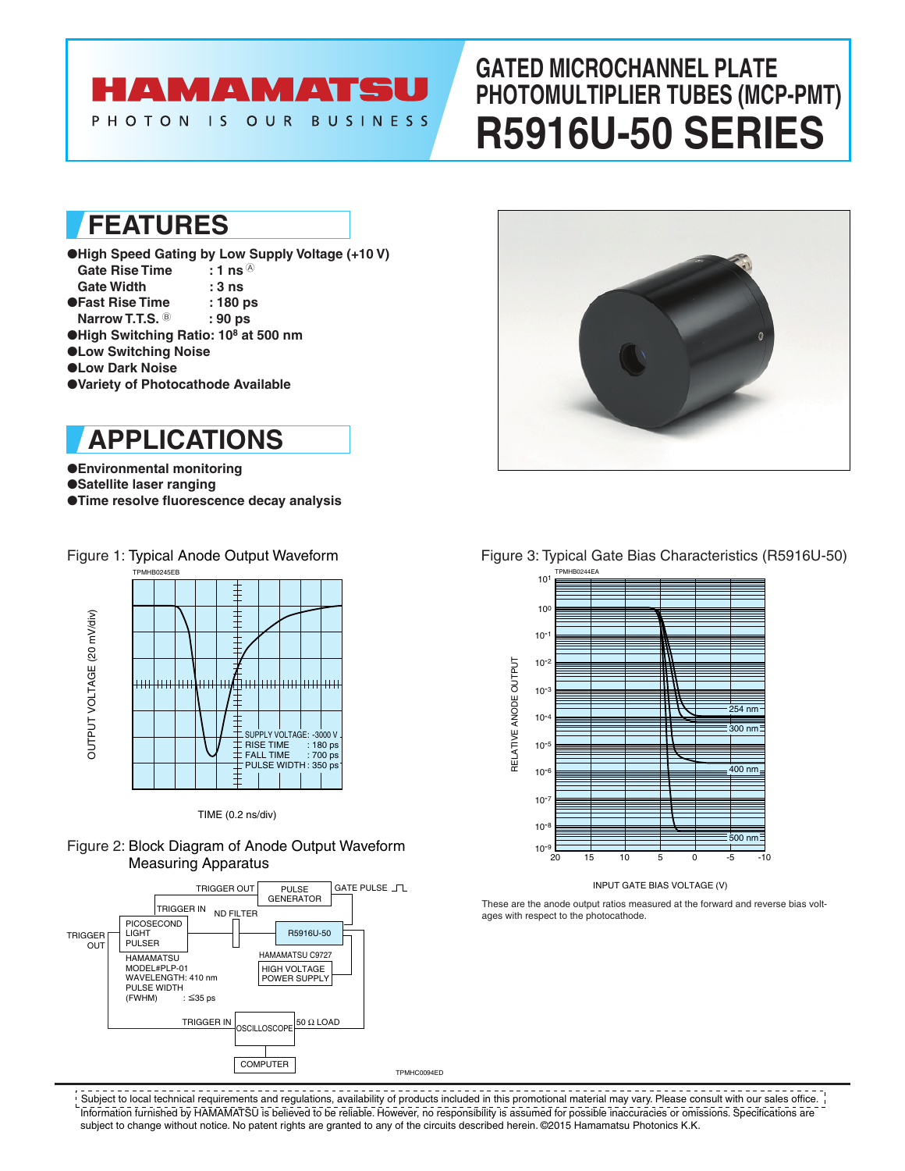# HAMAMATSU

OUR

**BUSINESS** 

# **GATED MICROCHANNEL PLATE PHOTOMULTIPLIER TUBES (MCP-PMT) R5916U-50 SERIES**

# **FEATURES**

PHOTON IS

- ●**High Speed Gating by Low Supply Voltage (+10 V) Gate Rise Time : 1 ns**  $^{\circ}$
- Gate Width : 3 ns<br>Fast Rise Time : 180 ps **OFast Rise Time**
- **Narrow T.T.S. 8** : 90 ps
- ●**High Switching Ratio: 108 at 500 nm**
- ●**Low Switching Noise**
- ●**Low Dark Noise**
- ●**Variety of Photocathode Available**

# **APPLICATIONS**

### ●**Environmental monitoring**

- ●**Satellite laser ranging**
- ●**Time resolve fluorescence decay analysis**



### TIME (0.2 ns/div)

### Figure 2: Block Diagram of Anode Output Waveform Measuring Apparatus





## Figure 1: Typical Anode Output Waveform Figure 3: Typical Gate Bias Characteristics (R5916U-50)



### INPUT GATE BIAS VOLTAGE (V)

These are the anode output ratios measured at the forward and reverse bias voltages with respect to the photocathode.

TPMHC0094ED

Information furnished by HAMAMATSU is believed to be reliable. However, no responsibility is assumed for possible inaccuracies or omissions. Specifications are subject to change without notice. No patent rights are granted to any of the circuits described herein. ©2015 Hamamatsu Photonics K.K.  $!$  Subject to local technical requirements and regulations, availability of products included in this promotional material may vary. Please consult with our sales office.  $\,$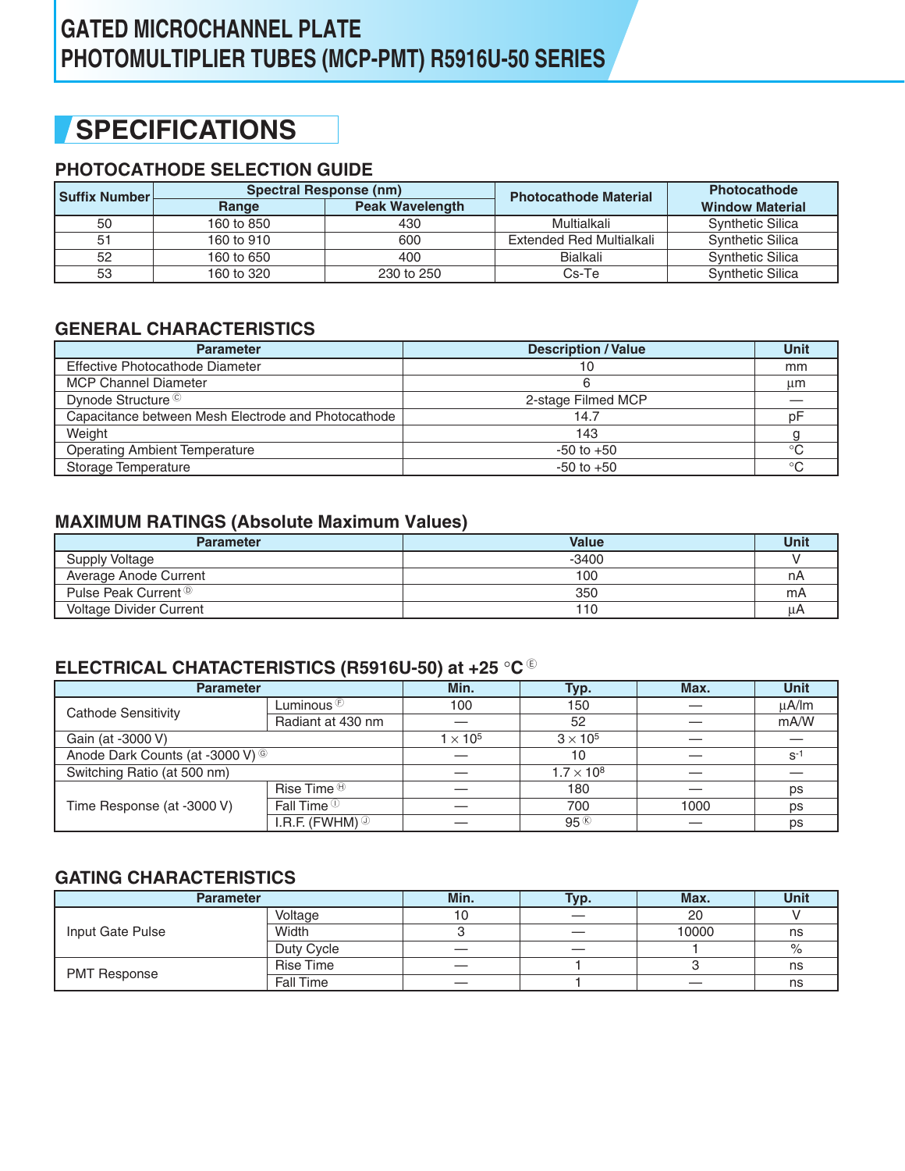# **GATED MICROCHANNEL PLATE PHOTOMULTIPLIER TUBES (MCP-PMT) R5916U-50 SERIES**

# **SPECIFICATIONS**

# **PHOTOCATHODE SELECTION GUIDE**

| <b>Suffix Number</b> ⊦ | Spectral Response (nm)          |            | <b>Photocathode Material</b> | <b>Photocathode</b>     |
|------------------------|---------------------------------|------------|------------------------------|-------------------------|
|                        | <b>Peak Wavelength</b><br>Range |            |                              | <b>Window Material</b>  |
| 50                     | 160 to 850                      | 430        | Multialkali                  | <b>Synthetic Silica</b> |
| 51                     | 160 to 910                      | 600        | Extended Red Multialkali     | <b>Synthetic Silica</b> |
| 52                     | 160 to 650                      | 400        | Bialkali                     | <b>Synthetic Silica</b> |
| 53                     | 160 to 320                      | 230 to 250 | Cs-Te                        | <b>Synthetic Silica</b> |

# **GENERAL CHARACTERISTICS**

| <b>Parameter</b>                                    | <b>Description / Value</b> | Unit |
|-----------------------------------------------------|----------------------------|------|
| Effective Photocathode Diameter                     | 10                         | mm   |
| <b>MCP Channel Diameter</b>                         |                            | μm   |
| Dynode Structure ©                                  | 2-stage Filmed MCP         |      |
| Capacitance between Mesh Electrode and Photocathode | 14.7                       | рF   |
| Weight                                              | 143                        |      |
| <b>Operating Ambient Temperature</b>                | $-50$ to $+50$             | ்ட   |
| Storage Temperature                                 | $-50$ to $+50$             | ി    |

## **MAXIMUM RATINGS (Absolute Maximum Values)**

| <b>Parameter</b>                | <b>Value</b> | Unit |
|---------------------------------|--------------|------|
| <b>Supply Voltage</b>           | -3400        |      |
| Average Anode Current           | 100          | nΑ   |
| Pulse Peak Current <sup>®</sup> | 350          | mA   |
| <b>Voltage Divider Current</b>  | 110          | u/   |

## **ELECTRICAL CHATACTERISTICS (R5916U-50) at +25** °**C** <sup>E</sup>

| <b>Parameter</b>                            |                              | Min.                               | Typ.                |      | <b>Unit</b> |
|---------------------------------------------|------------------------------|------------------------------------|---------------------|------|-------------|
| Cathode Sensitivity                         | Luminous $\mathfrak{S}$      | 100                                | 150                 |      | uA/lm       |
|                                             | Radiant at 430 nm            |                                    |                     |      | mA/W        |
| Gain (at -3000 V)                           |                              | $3 \times 10^5$<br>$1 \times 10^5$ |                     |      |             |
| Anode Dark Counts (at -3000 V) <sup>©</sup> |                              |                                    | 10                  |      | $S^{-}$     |
| Switching Ratio (at 500 nm)                 |                              |                                    | $1.7 \times 10^{8}$ |      |             |
|                                             | Rise Time $\mathbf{\Theta}$  |                                    | 180                 |      | ps          |
| Time Response (at -3000 V)                  | Fall Time $\mathbb O$        |                                    | 700                 | 1000 | ps          |
|                                             | I.R.F. (FWHM) $\circledcirc$ |                                    | 95%                 |      | ps          |

## **GATING CHARACTERISTICS**

| <b>Parameter</b>    |                  | Min.                     | Typ. | Max.  | <b>Unit</b> |
|---------------------|------------------|--------------------------|------|-------|-------------|
|                     | Voltage          | 10                       |      | 20    |             |
| Input Gate Pulse    | Width            |                          |      | 10000 | ns          |
|                     | Duty Cycle       |                          |      |       | $\%$        |
| <b>PMT Response</b> | <b>Rise Time</b> | $\overline{\phantom{a}}$ |      |       | ns          |
|                     | Fall Time        |                          |      |       | ns          |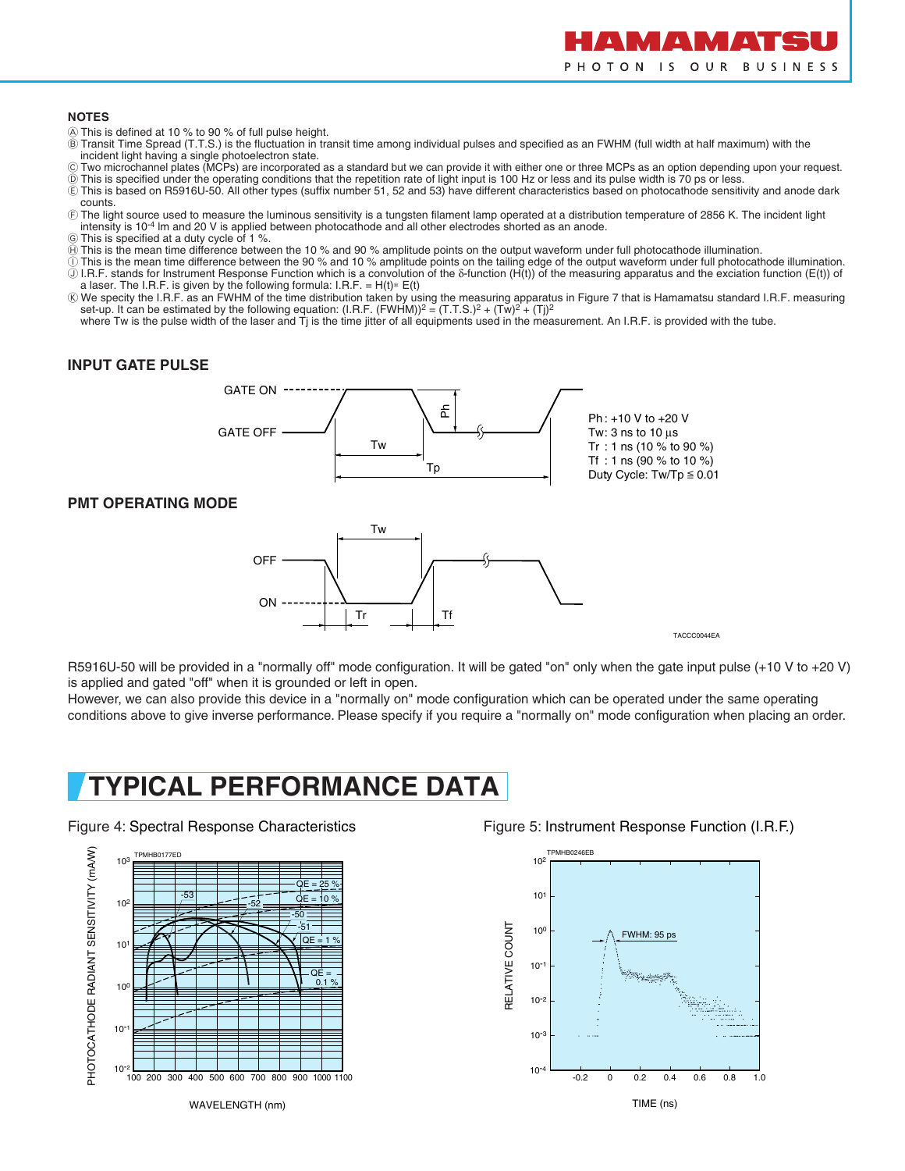

### **NOTES**

- A This is defined at 10 % to 90 % of full pulse height.
- B Transit Time Spread (T.T.S.) is the fluctuation in transit time among individual pulses and specified as an FWHM (full width at half maximum) with the
- incident light having a single photoelectron state. C Two microchannel plates (MCPs) are incorporated as a standard but we can provide it with either one or three MCPs as an option depending upon your request.
- $\overline{0}$  This is specified under the operating conditions that the repetition rate of light input is 100 Hz or less and its pulse width is 70 ps or less. E This is based on R5916U-50. All other types (suffix number 51, 52 and 53) have different characteristics based on photocathode sensitivity and anode dark
- counts. F The light source used to measure the luminous sensitivity is a tungsten filament lamp operated at a distribution temperature of 2856 K. The incident light
- intensity is 10-4 lm and 20 V is applied between photocathode and all other electrodes shorted as an anode.
- G This is specified at a duty cycle of 1 %.
- $\overline{\Theta}$  This is the mean time difference between the 10 % and 90 % amplitude points on the output waveform under full photocathode illumination.
- $\mathbb O$  This is the mean time difference between the 90 % and 10 % amplitude points on the tailing edge of the output waveform under full photocathode illumination. J I.R.F. stands for Instrument Response Function which is a convolution of the δ-function (H(t)) of the measuring apparatus and the exciation function (E(t)) of a laser. The I.R.F. is given by the following formula: I.R.F. =  $H(t)*E(t)$
- ⑥ We specity the I.R.F. as an FWHM of the time distribution taken by using the measuring apparatus in Figure 7 that is Hamamatsu standard I.R.F. measuring set-up. It can be estimated by the following equation: (I.R.F. (F
	- where Tw is the pulse width of the laser and Tj is the time jitter of all equipments used in the measurement. An I.R.F. is provided with the tube.

## **INPUT GATE PULSE**



### **PMT OPERATING MODE**



R5916U-50 will be provided in a "normally off" mode configuration. It will be gated "on" only when the gate input pulse (+10 V to +20 V) is applied and gated "off" when it is grounded or left in open.

However, we can also provide this device in a "normally on" mode configuration which can be operated under the same operating conditions above to give inverse performance. Please specify if you require a "normally on" mode configuration when placing an order.

# **TYPICAL PERFORMANCE DATA**



Figure 4: Spectral Response Characteristics Figure 5: Instrument Response Function (I.R.F.)

TACCC0044EA

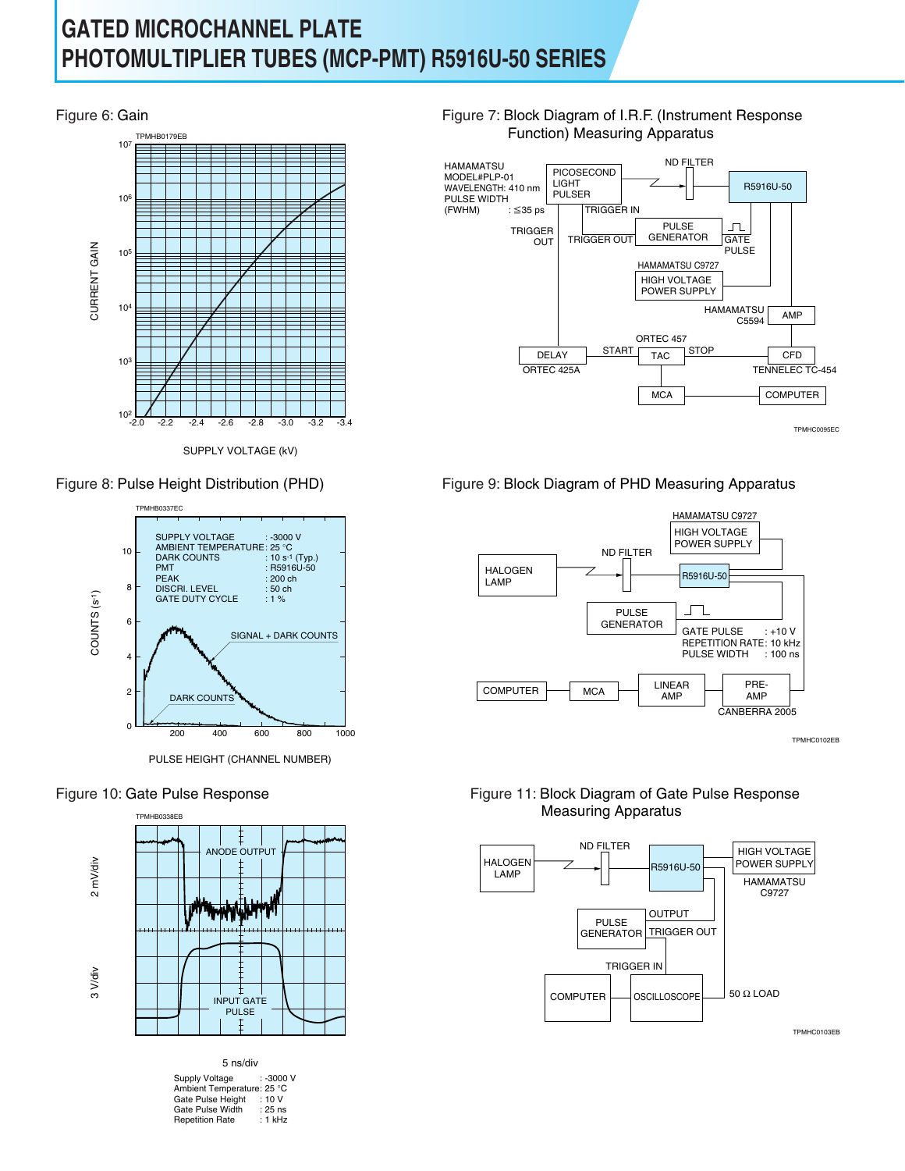# **GATED MICROCHANNEL PLATE PHOTOMULTIPLIER TUBES (MCP-PMT) R5916U-50 SERIES**



SUPPLY VOLTAGE (kV)



PULSE HEIGHT (CHANNEL NUMBER)

## Figure 10: Gate Pulse Response



| 5 ns/div                                                                                                        |                                             |
|-----------------------------------------------------------------------------------------------------------------|---------------------------------------------|
| Supply Voltage<br>Ambient Temperature: 25 °C<br>Gate Pulse Height<br>Gate Pulse Width<br><b>Repetition Rate</b> | : -3000 V<br>:10V<br>$: 25$ ns<br>$: 1$ kHz |
|                                                                                                                 |                                             |





## Figure 8: Pulse Height Distribution (PHD) Figure 9: Block Diagram of PHD Measuring Apparatus



TPMHC0102EB

## Figure 11: Block Diagram of Gate Pulse Response Measuring Apparatus

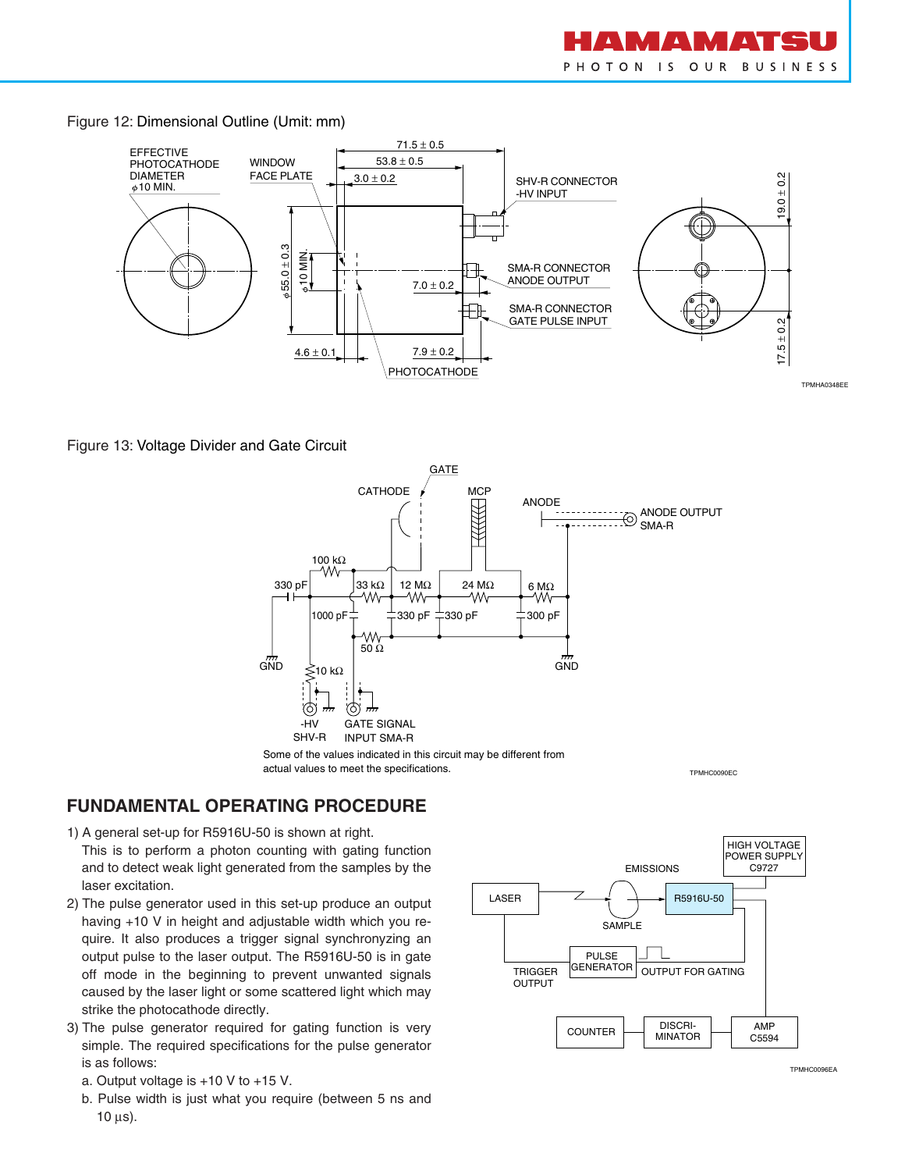

Figure 12: Dimensional Outline (Umit: mm)



Figure 13: Voltage Divider and Gate Circuit



Some of the values indicated in this circuit may be different from actual values to meet the specifications.

TPMHC0090EC

## **FUNDAMENTAL OPERATING PROCEDURE**

- 1) A general set-up for R5916U-50 is shown at right.
- This is to perform a photon counting with gating function and to detect weak light generated from the samples by the laser excitation.
- 2) The pulse generator used in this set-up produce an output having +10 V in height and adjustable width which you require. It also produces a trigger signal synchronyzing an output pulse to the laser output. The R5916U-50 is in gate off mode in the beginning to prevent unwanted signals caused by the laser light or some scattered light which may strike the photocathode directly.
- 3) The pulse generator required for gating function is very simple. The required specifications for the pulse generator is as follows:
	- a. Output voltage is +10 V to +15 V.
	- b. Pulse width is just what you require (between 5 ns and  $10 \mu s$ ).



TPMHC0096EA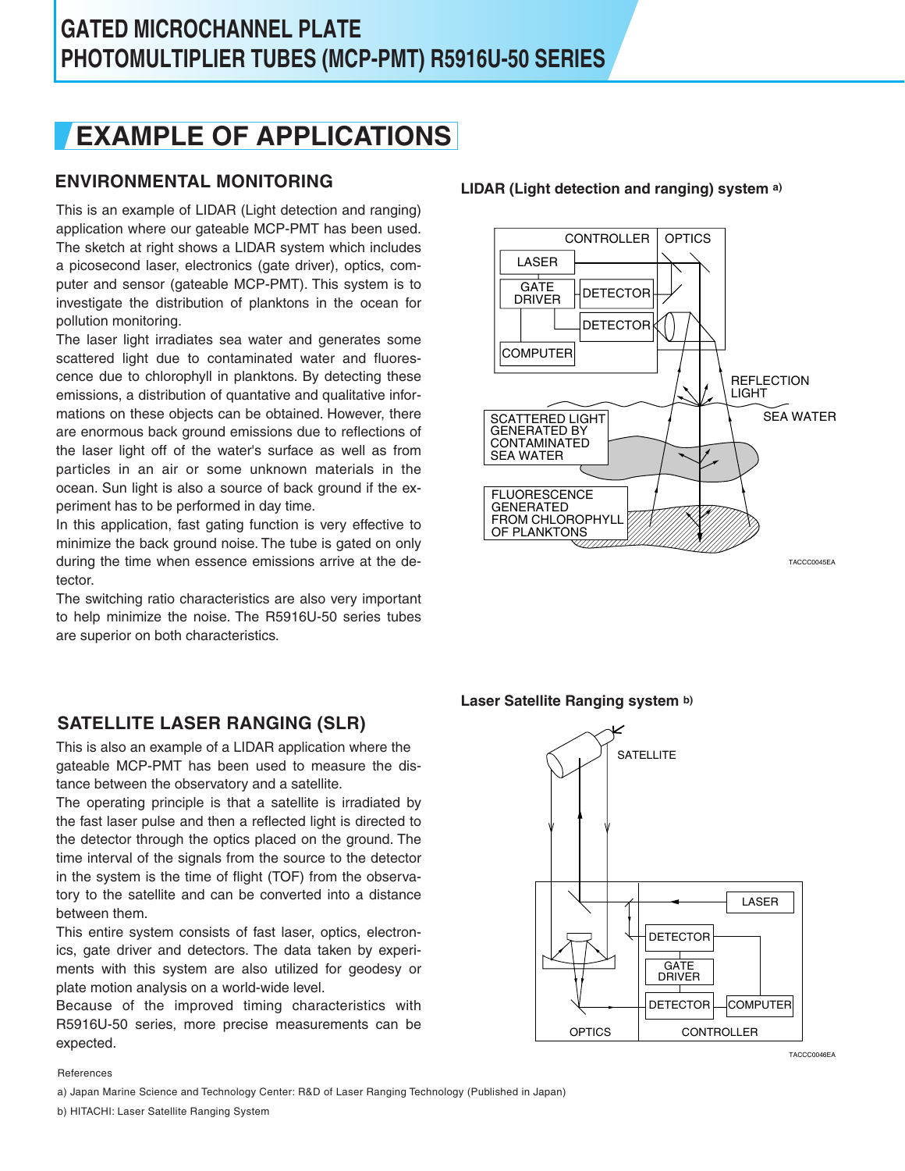# **EXAMPLE OF APPLICATIONS**

# **ENVIRONMENTAL MONITORING LIDAR (Light detection and ranging) system a)**

This is an example of LIDAR (Light detection and ranging) application where our gateable MCP-PMT has been used. The sketch at right shows a LIDAR system which includes a picosecond laser, electronics (gate driver), optics, computer and sensor (gateable MCP-PMT). This system is to investigate the distribution of planktons in the ocean for pollution monitoring.

The laser light irradiates sea water and generates some scattered light due to contaminated water and fluorescence due to chlorophyll in planktons. By detecting these emissions, a distribution of quantative and qualitative informations on these objects can be obtained. However, there are enormous back ground emissions due to reflections of the laser light off of the water's surface as well as from particles in an air or some unknown materials in the ocean. Sun light is also a source of back ground if the experiment has to be performed in day time.

In this application, fast gating function is very effective to minimize the back ground noise. The tube is gated on only during the time when essence emissions arrive at the detector.

The switching ratio characteristics are also very important to help minimize the noise. The R5916U-50 series tubes are superior on both characteristics.

## **SATELLITE LASER RANGING (SLR)**

This is also an example of a LIDAR application where the gateable MCP-PMT has been used to measure the distance between the observatory and a satellite.

The operating principle is that a satellite is irradiated by the fast laser pulse and then a reflected light is directed to the detector through the optics placed on the ground. The time interval of the signals from the source to the detector in the system is the time of flight (TOF) from the observatory to the satellite and can be converted into a distance between them.

This entire system consists of fast laser, optics, electronics, gate driver and detectors. The data taken by experiments with this system are also utilized for geodesy or plate motion analysis on a world-wide level.

Because of the improved timing characteristics with R5916U-50 series, more precise measurements can be expected.



**Laser Satellite Ranging system b)**



References

a) Japan Marine Science and Technology Center: R&D of Laser Ranging Technology (Published in Japan)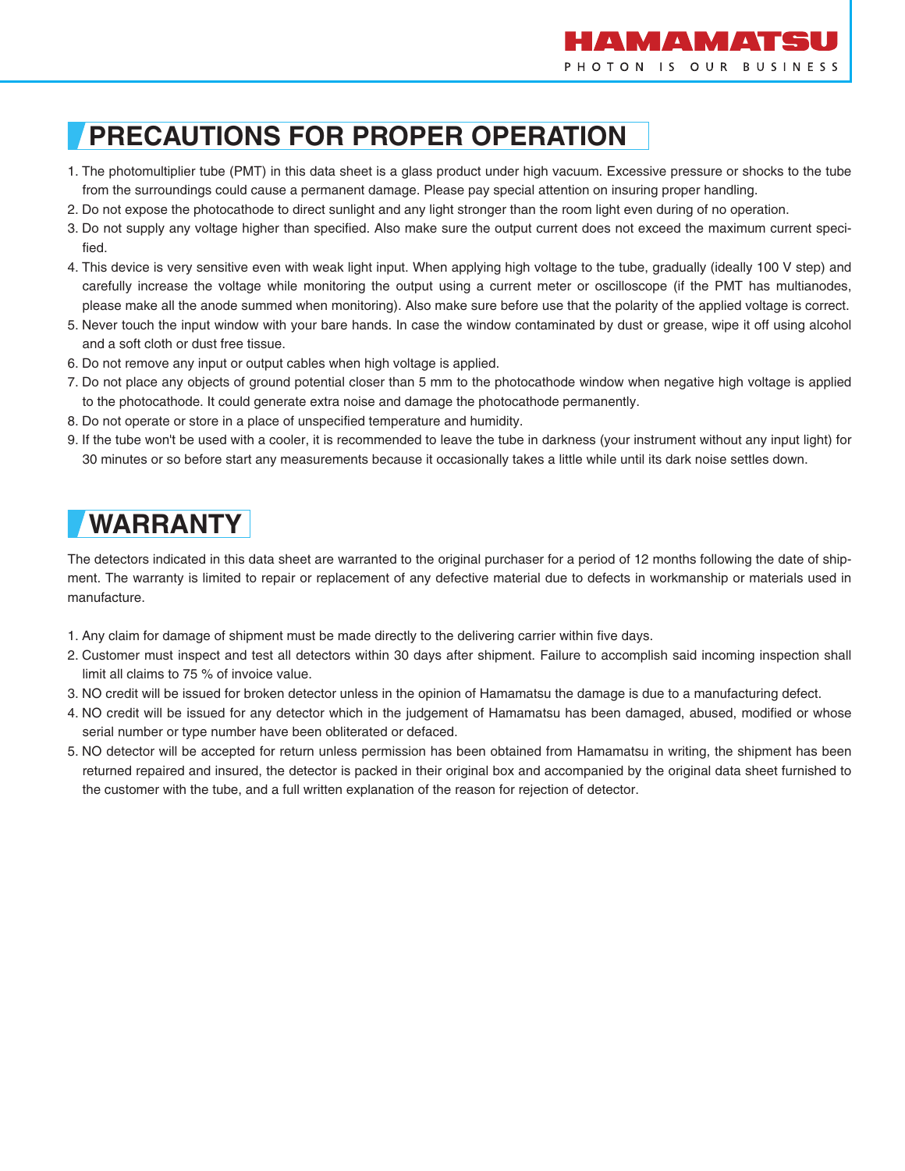

# **PRECAUTIONS FOR PROPER OPERATION**

- 1. The photomultiplier tube (PMT) in this data sheet is a glass product under high vacuum. Excessive pressure or shocks to the tube from the surroundings could cause a permanent damage. Please pay special attention on insuring proper handling.
- 2. Do not expose the photocathode to direct sunlight and any light stronger than the room light even during of no operation.
- 3. Do not supply any voltage higher than specified. Also make sure the output current does not exceed the maximum current specified.
- 4. This device is very sensitive even with weak light input. When applying high voltage to the tube, gradually (ideally 100 V step) and carefully increase the voltage while monitoring the output using a current meter or oscilloscope (if the PMT has multianodes, please make all the anode summed when monitoring). Also make sure before use that the polarity of the applied voltage is correct.
- 5. Never touch the input window with your bare hands. In case the window contaminated by dust or grease, wipe it off using alcohol and a soft cloth or dust free tissue.
- 6. Do not remove any input or output cables when high voltage is applied.
- 7. Do not place any objects of ground potential closer than 5 mm to the photocathode window when negative high voltage is applied to the photocathode. It could generate extra noise and damage the photocathode permanently.
- 8. Do not operate or store in a place of unspecified temperature and humidity.
- 9. If the tube won't be used with a cooler, it is recommended to leave the tube in darkness (your instrument without any input light) for 30 minutes or so before start any measurements because it occasionally takes a little while until its dark noise settles down.

# **WARRANTY**

The detectors indicated in this data sheet are warranted to the original purchaser for a period of 12 months following the date of shipment. The warranty is limited to repair or replacement of any defective material due to defects in workmanship or materials used in manufacture.

- 1. Any claim for damage of shipment must be made directly to the delivering carrier within five days.
- 2. Customer must inspect and test all detectors within 30 days after shipment. Failure to accomplish said incoming inspection shall limit all claims to 75 % of invoice value.
- 3. NO credit will be issued for broken detector unless in the opinion of Hamamatsu the damage is due to a manufacturing defect.
- 4. NO credit will be issued for any detector which in the judgement of Hamamatsu has been damaged, abused, modified or whose serial number or type number have been obliterated or defaced.
- 5. NO detector will be accepted for return unless permission has been obtained from Hamamatsu in writing, the shipment has been returned repaired and insured, the detector is packed in their original box and accompanied by the original data sheet furnished to the customer with the tube, and a full written explanation of the reason for rejection of detector.